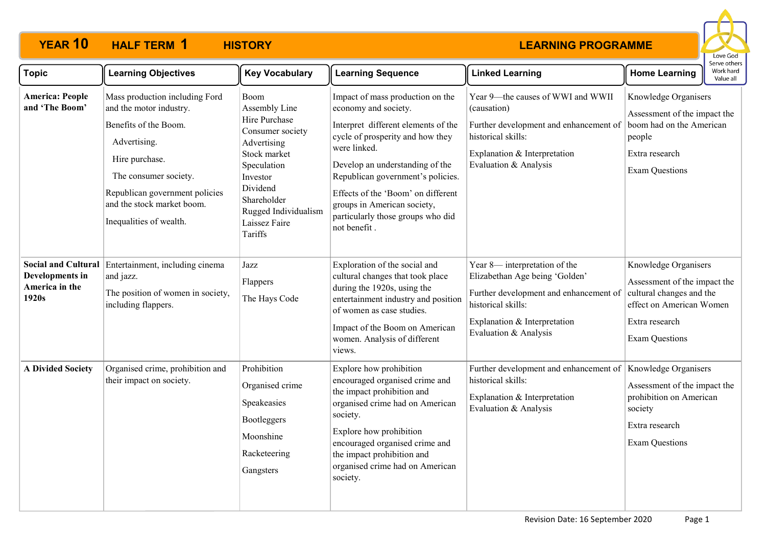

| <b>Topic</b>                               | <b>Learning Objectives</b>                                                                                                                                                                                                               | <b>Key Vocabulary</b>                                                                                                                                                                               | <b>Learning Sequence</b>                                                                                                                                                                                                                                                                                                                              | <b>Linked Learning</b>                                                                                                                                                                   | <b>Home Learning</b>                                                                                                                                    | serve others<br>Work hard<br>Value all |
|--------------------------------------------|------------------------------------------------------------------------------------------------------------------------------------------------------------------------------------------------------------------------------------------|-----------------------------------------------------------------------------------------------------------------------------------------------------------------------------------------------------|-------------------------------------------------------------------------------------------------------------------------------------------------------------------------------------------------------------------------------------------------------------------------------------------------------------------------------------------------------|------------------------------------------------------------------------------------------------------------------------------------------------------------------------------------------|---------------------------------------------------------------------------------------------------------------------------------------------------------|----------------------------------------|
| <b>America: People</b><br>and 'The Boom'   | Mass production including Ford<br>and the motor industry.<br>Benefits of the Boom.<br>Advertising.<br>Hire purchase.<br>The consumer society.<br>Republican government policies<br>and the stock market boom.<br>Inequalities of wealth. | Boom<br>Assembly Line<br>Hire Purchase<br>Consumer society<br>Advertising<br>Stock market<br>Speculation<br>Investor<br>Dividend<br>Shareholder<br>Rugged Individualism<br>Laissez Faire<br>Tariffs | Impact of mass production on the<br>economy and society.<br>Interpret different elements of the<br>cycle of prosperity and how they<br>were linked.<br>Develop an understanding of the<br>Republican government's policies.<br>Effects of the 'Boom' on different<br>groups in American society,<br>particularly those groups who did<br>not benefit. | Year 9-the causes of WWI and WWII<br>(causation)<br>Further development and enhancement of<br>historical skills:<br>Explanation & Interpretation<br>Evaluation & Analysis                | Knowledge Organisers<br>Assessment of the impact the<br>boom had on the American<br>people<br>Extra research<br><b>Exam Questions</b>                   |                                        |
| Developments in<br>America in the<br>1920s | Social and Cultural Entertainment, including cinema<br>and jazz.<br>The position of women in society,<br>including flappers.                                                                                                             | Jazz<br>Flappers<br>The Hays Code                                                                                                                                                                   | Exploration of the social and<br>cultural changes that took place<br>during the 1920s, using the<br>entertainment industry and position<br>of women as case studies.<br>Impact of the Boom on American<br>women. Analysis of different<br>views.                                                                                                      | Year 8— interpretation of the<br>Elizabethan Age being 'Golden'<br>Further development and enhancement of<br>historical skills:<br>Explanation & Interpretation<br>Evaluation & Analysis | Knowledge Organisers<br>Assessment of the impact the<br>cultural changes and the<br>effect on American Women<br>Extra research<br><b>Exam Questions</b> |                                        |
| <b>A Divided Society</b>                   | Organised crime, prohibition and<br>their impact on society.                                                                                                                                                                             | Prohibition<br>Organised crime<br>Speakeasies<br>Bootleggers<br>Moonshine<br>Racketeering<br>Gangsters                                                                                              | Explore how prohibition<br>encouraged organised crime and<br>the impact prohibition and<br>organised crime had on American<br>society.<br>Explore how prohibition<br>encouraged organised crime and<br>the impact prohibition and<br>organised crime had on American<br>society.                                                                      | Further development and enhancement of<br>historical skills:<br>Explanation & Interpretation<br>Evaluation & Analysis                                                                    | Knowledge Organisers<br>Assessment of the impact the<br>prohibition on American<br>society<br>Extra research<br><b>Exam Questions</b>                   |                                        |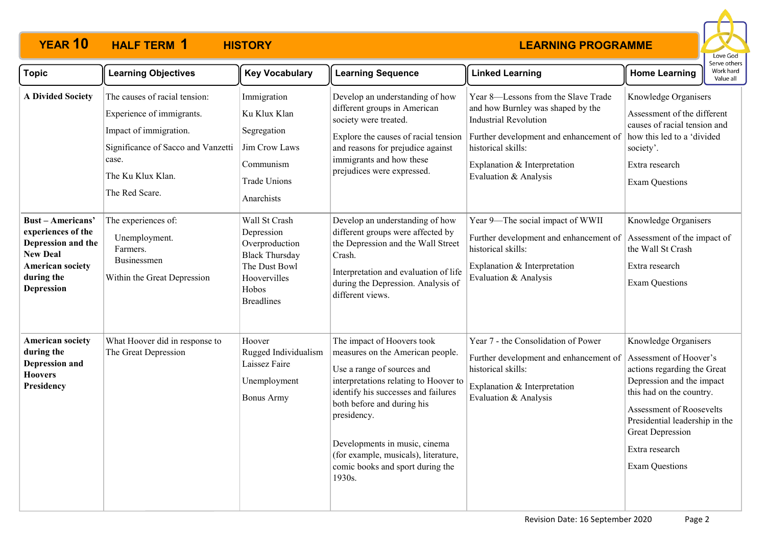

| <b>Topic</b>                                                                                                                                 | <b>Learning Objectives</b>                                                                                                                                                 | <b>Key Vocabulary</b>                                                                                                                 | <b>Learning Sequence</b>                                                                                                                                                                                                                                                                                                                         | <b>Linked Learning</b>                                                                                                                                                                                                            | Serve others<br>Work hard<br><b>Home Learning</b><br>Value all                                                                                                                                                                                                             |
|----------------------------------------------------------------------------------------------------------------------------------------------|----------------------------------------------------------------------------------------------------------------------------------------------------------------------------|---------------------------------------------------------------------------------------------------------------------------------------|--------------------------------------------------------------------------------------------------------------------------------------------------------------------------------------------------------------------------------------------------------------------------------------------------------------------------------------------------|-----------------------------------------------------------------------------------------------------------------------------------------------------------------------------------------------------------------------------------|----------------------------------------------------------------------------------------------------------------------------------------------------------------------------------------------------------------------------------------------------------------------------|
| <b>A Divided Society</b>                                                                                                                     | The causes of racial tension:<br>Experience of immigrants.<br>Impact of immigration.<br>Significance of Sacco and Vanzetti<br>case.<br>The Ku Klux Klan.<br>The Red Scare. | Immigration<br>Ku Klux Klan<br>Segregation<br>Jim Crow Laws<br>Communism<br><b>Trade Unions</b><br>Anarchists                         | Develop an understanding of how<br>different groups in American<br>society were treated.<br>Explore the causes of racial tension<br>and reasons for prejudice against<br>immigrants and how these<br>prejudices were expressed.                                                                                                                  | Year 8-Lessons from the Slave Trade<br>and how Burnley was shaped by the<br><b>Industrial Revolution</b><br>Further development and enhancement of<br>historical skills:<br>Explanation & Interpretation<br>Evaluation & Analysis | Knowledge Organisers<br>Assessment of the different<br>causes of racial tension and<br>how this led to a 'divided<br>society'.<br>Extra research<br><b>Exam Questions</b>                                                                                                  |
| <b>Bust-Americans'</b><br>experiences of the<br>Depression and the<br><b>New Deal</b><br><b>American society</b><br>during the<br>Depression | The experiences of:<br>Unemployment.<br>Farmers.<br>Businessmen<br>Within the Great Depression                                                                             | Wall St Crash<br>Depression<br>Overproduction<br><b>Black Thursday</b><br>The Dust Bowl<br>Hoovervilles<br>Hobos<br><b>Breadlines</b> | Develop an understanding of how<br>different groups were affected by<br>the Depression and the Wall Street<br>Crash.<br>Interpretation and evaluation of life<br>during the Depression. Analysis of<br>different views.                                                                                                                          | Year 9-The social impact of WWII<br>Further development and enhancement of<br>historical skills:<br>Explanation & Interpretation<br>Evaluation & Analysis                                                                         | Knowledge Organisers<br>Assessment of the impact of<br>the Wall St Crash<br>Extra research<br><b>Exam Questions</b>                                                                                                                                                        |
| <b>American society</b><br>during the<br>Depression and<br><b>Hoovers</b><br>Presidency                                                      | What Hoover did in response to<br>The Great Depression                                                                                                                     | Hoover<br>Rugged Individualism<br>Laissez Faire<br>Unemployment<br><b>Bonus Army</b>                                                  | The impact of Hoovers took<br>measures on the American people.<br>Use a range of sources and<br>interpretations relating to Hoover to<br>identify his successes and failures<br>both before and during his<br>presidency.<br>Developments in music, cinema<br>(for example, musicals), literature,<br>comic books and sport during the<br>1930s. | Year 7 - the Consolidation of Power<br>Further development and enhancement of<br>historical skills:<br>Explanation & Interpretation<br>Evaluation & Analysis                                                                      | Knowledge Organisers<br>Assessment of Hoover's<br>actions regarding the Great<br>Depression and the impact<br>this had on the country.<br>Assessment of Roosevelts<br>Presidential leadership in the<br><b>Great Depression</b><br>Extra research<br><b>Exam Questions</b> |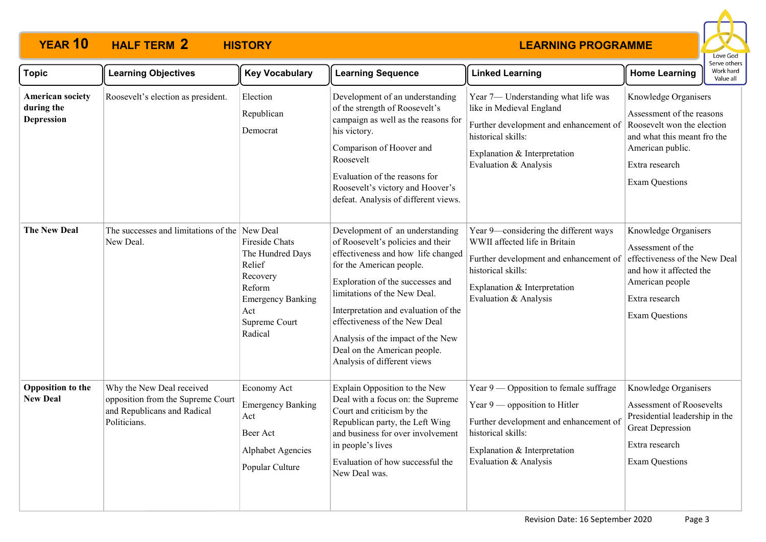

| <b>Topic</b>                                               | <b>Learning Objectives</b>                                                                                    | <b>Key Vocabulary</b>                                                                                                             | <b>Learning Sequence</b>                                                                                                                                                                                                                                                                                                                                                                | <b>Linked Learning</b>                                                                                                                                                                               | <b>Home Learning</b>                                                                                                                                                          | וסטו שכן עכן ז<br>Work hard<br>Value all |
|------------------------------------------------------------|---------------------------------------------------------------------------------------------------------------|-----------------------------------------------------------------------------------------------------------------------------------|-----------------------------------------------------------------------------------------------------------------------------------------------------------------------------------------------------------------------------------------------------------------------------------------------------------------------------------------------------------------------------------------|------------------------------------------------------------------------------------------------------------------------------------------------------------------------------------------------------|-------------------------------------------------------------------------------------------------------------------------------------------------------------------------------|------------------------------------------|
| <b>American society</b><br>during the<br><b>Depression</b> | Roosevelt's election as president.                                                                            | Election<br>Republican<br>Democrat                                                                                                | Development of an understanding<br>of the strength of Roosevelt's<br>campaign as well as the reasons for<br>his victory.<br>Comparison of Hoover and<br>Roosevelt<br>Evaluation of the reasons for<br>Roosevelt's victory and Hoover's<br>defeat. Analysis of different views.                                                                                                          | Year 7- Understanding what life was<br>like in Medieval England<br>Further development and enhancement of<br>historical skills:<br>Explanation & Interpretation<br>Evaluation & Analysis             | Knowledge Organisers<br>Assessment of the reasons<br>Roosevelt won the election<br>and what this meant fro the<br>American public.<br>Extra research<br><b>Exam Questions</b> |                                          |
| <b>The New Deal</b>                                        | The successes and limitations of the New Deal<br>New Deal.                                                    | Fireside Chats<br>The Hundred Days<br>Relief<br>Recovery<br>Reform<br><b>Emergency Banking</b><br>Act<br>Supreme Court<br>Radical | Development of an understanding<br>of Roosevelt's policies and their<br>effectiveness and how life changed<br>for the American people.<br>Exploration of the successes and<br>limitations of the New Deal.<br>Interpretation and evaluation of the<br>effectiveness of the New Deal<br>Analysis of the impact of the New<br>Deal on the American people.<br>Analysis of different views | Year 9-considering the different ways<br>WWII affected life in Britain<br>Further development and enhancement of<br>historical skills:<br>Explanation & Interpretation<br>Evaluation & Analysis      | Knowledge Organisers<br>Assessment of the<br>effectiveness of the New Deal<br>and how it affected the<br>American people<br>Extra research<br><b>Exam Questions</b>           |                                          |
| <b>Opposition</b> to the<br><b>New Deal</b>                | Why the New Deal received<br>opposition from the Supreme Court<br>and Republicans and Radical<br>Politicians. | Economy Act<br><b>Emergency Banking</b><br>Act<br>Beer Act<br><b>Alphabet Agencies</b><br>Popular Culture                         | Explain Opposition to the New<br>Deal with a focus on: the Supreme<br>Court and criticism by the<br>Republican party, the Left Wing<br>and business for over involvement<br>in people's lives<br>Evaluation of how successful the<br>New Deal was.                                                                                                                                      | Year $9$ — Opposition to female suffrage<br>Year $9$ — opposition to Hitler<br>Further development and enhancement of<br>historical skills:<br>Explanation & Interpretation<br>Evaluation & Analysis | Knowledge Organisers<br><b>Assessment of Roosevelts</b><br>Presidential leadership in the<br><b>Great Depression</b><br>Extra research<br><b>Exam Questions</b>               |                                          |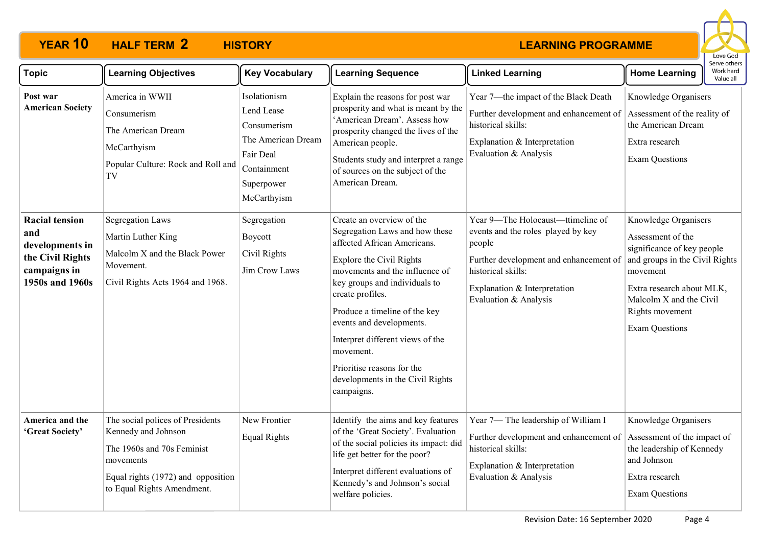

| <b>Topic</b>                                                                                           | <b>Learning Objectives</b>                                                                                                                                             | <b>Key Vocabulary</b>                                                                                                    | <b>Learning Sequence</b>                                                                                                                                                                                                                                                                                                                                                                                    | <b>Linked Learning</b>                                                                                                                                                                                     | <b>Home Learning</b>                                                                                                                                                                                                      | Serve others<br>Work hard<br>Value all |
|--------------------------------------------------------------------------------------------------------|------------------------------------------------------------------------------------------------------------------------------------------------------------------------|--------------------------------------------------------------------------------------------------------------------------|-------------------------------------------------------------------------------------------------------------------------------------------------------------------------------------------------------------------------------------------------------------------------------------------------------------------------------------------------------------------------------------------------------------|------------------------------------------------------------------------------------------------------------------------------------------------------------------------------------------------------------|---------------------------------------------------------------------------------------------------------------------------------------------------------------------------------------------------------------------------|----------------------------------------|
| Post war<br><b>American Society</b>                                                                    | America in WWII<br>Consumerism<br>The American Dream<br>McCarthyism<br>Popular Culture: Rock and Roll and<br>TV                                                        | Isolationism<br>Lend Lease<br>Consumerism<br>The American Dream<br>Fair Deal<br>Containment<br>Superpower<br>McCarthyism | Explain the reasons for post war<br>prosperity and what is meant by the<br>'American Dream'. Assess how<br>prosperity changed the lives of the<br>American people.<br>Students study and interpret a range<br>of sources on the subject of the<br>American Dream.                                                                                                                                           | Year 7-the impact of the Black Death<br>Further development and enhancement of<br>historical skills:<br>Explanation & Interpretation<br>Evaluation & Analysis                                              | Knowledge Organisers<br>Assessment of the reality of<br>the American Dream<br>Extra research<br><b>Exam Questions</b>                                                                                                     |                                        |
| <b>Racial tension</b><br>and<br>developments in<br>the Civil Rights<br>campaigns in<br>1950s and 1960s | <b>Segregation Laws</b><br>Martin Luther King<br>Malcolm X and the Black Power<br>Movement.<br>Civil Rights Acts 1964 and 1968.                                        | Segregation<br>Boycott<br>Civil Rights<br>Jim Crow Laws                                                                  | Create an overview of the<br>Segregation Laws and how these<br>affected African Americans.<br>Explore the Civil Rights<br>movements and the influence of<br>key groups and individuals to<br>create profiles.<br>Produce a timeline of the key<br>events and developments.<br>Interpret different views of the<br>movement.<br>Prioritise reasons for the<br>developments in the Civil Rights<br>campaigns. | Year 9-The Holocaust-ttimeline of<br>events and the roles played by key<br>people<br>Further development and enhancement of<br>historical skills:<br>Explanation & Interpretation<br>Evaluation & Analysis | Knowledge Organisers<br>Assessment of the<br>significance of key people<br>and groups in the Civil Rights<br>movement<br>Extra research about MLK,<br>Malcolm X and the Civil<br>Rights movement<br><b>Exam Questions</b> |                                        |
| America and the<br>'Great Society'                                                                     | The social polices of Presidents<br>Kennedy and Johnson<br>The 1960s and 70s Feminist<br>movements<br>Equal rights (1972) and opposition<br>to Equal Rights Amendment. | New Frontier<br><b>Equal Rights</b>                                                                                      | Identify the aims and key features<br>of the 'Great Society'. Evaluation<br>of the social policies its impact: did<br>life get better for the poor?<br>Interpret different evaluations of<br>Kennedy's and Johnson's social<br>welfare policies.                                                                                                                                                            | Year 7- The leadership of William I<br>Further development and enhancement of<br>historical skills:<br>Explanation & Interpretation<br>Evaluation & Analysis                                               | Knowledge Organisers<br>Assessment of the impact of<br>the leadership of Kennedy<br>and Johnson<br>Extra research<br><b>Exam Questions</b>                                                                                |                                        |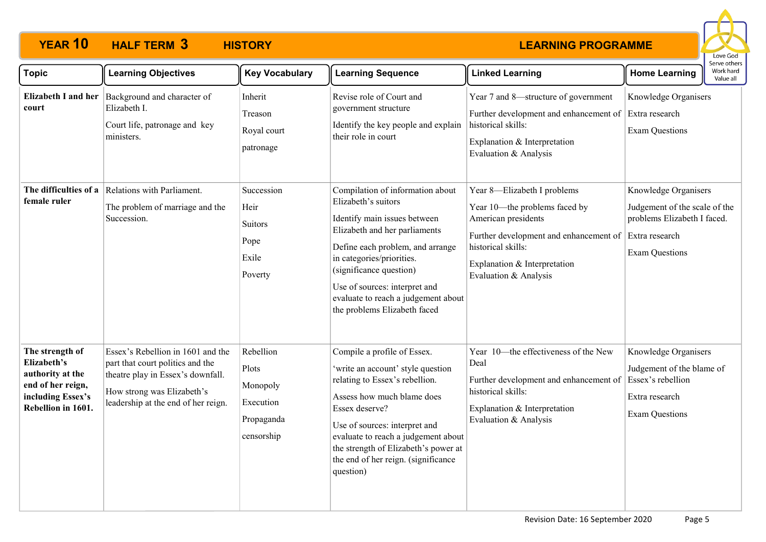

| <b>Topic</b>                                                                                                       | <b>Learning Objectives</b>                                                                                                                                                      | <b>Key Vocabulary</b>                                                   | <b>Learning Sequence</b>                                                                                                                                                                                                                                                                                                     | <b>Linked Learning</b>                                                                                                                                                                                       | Serve others<br>Work hard<br><b>Home Learning</b><br>Value all                                                                  |  |
|--------------------------------------------------------------------------------------------------------------------|---------------------------------------------------------------------------------------------------------------------------------------------------------------------------------|-------------------------------------------------------------------------|------------------------------------------------------------------------------------------------------------------------------------------------------------------------------------------------------------------------------------------------------------------------------------------------------------------------------|--------------------------------------------------------------------------------------------------------------------------------------------------------------------------------------------------------------|---------------------------------------------------------------------------------------------------------------------------------|--|
| Elizabeth I and her<br>court                                                                                       | Background and character of<br>Elizabeth I.<br>Court life, patronage and key<br>ministers.                                                                                      | Inherit<br>Treason<br>Royal court<br>patronage                          | Revise role of Court and<br>government structure<br>Identify the key people and explain<br>their role in court                                                                                                                                                                                                               | Year 7 and 8-structure of government<br>Further development and enhancement of<br>historical skills:<br>Explanation & Interpretation<br>Evaluation & Analysis                                                | Knowledge Organisers<br>Extra research<br><b>Exam Questions</b>                                                                 |  |
| The difficulties of a<br>female ruler                                                                              | Relations with Parliament.<br>The problem of marriage and the<br>Succession.                                                                                                    | Succession<br>Heir<br>Suitors<br>Pope<br>Exile<br>Poverty               | Compilation of information about<br>Elizabeth's suitors<br>Identify main issues between<br>Elizabeth and her parliaments<br>Define each problem, and arrange<br>in categories/priorities.<br>(significance question)<br>Use of sources: interpret and<br>evaluate to reach a judgement about<br>the problems Elizabeth faced | Year 8-Elizabeth I problems<br>Year 10-the problems faced by<br>American presidents<br>Further development and enhancement of<br>historical skills:<br>Explanation & Interpretation<br>Evaluation & Analysis | Knowledge Organisers<br>Judgement of the scale of the<br>problems Elizabeth I faced.<br>Extra research<br><b>Exam Questions</b> |  |
| The strength of<br>Elizabeth's<br>authority at the<br>end of her reign,<br>including Essex's<br>Rebellion in 1601. | Essex's Rebellion in 1601 and the<br>part that court politics and the<br>theatre play in Essex's downfall.<br>How strong was Elizabeth's<br>leadership at the end of her reign. | Rebellion<br>Plots<br>Monopoly<br>Execution<br>Propaganda<br>censorship | Compile a profile of Essex.<br>'write an account' style question<br>relating to Essex's rebellion.<br>Assess how much blame does<br>Essex deserve?<br>Use of sources: interpret and<br>evaluate to reach a judgement about<br>the strength of Elizabeth's power at<br>the end of her reign. (significance<br>question)       | Year 10—the effectiveness of the New<br>Deal<br>Further development and enhancement of<br>historical skills:<br>Explanation & Interpretation<br>Evaluation & Analysis                                        | Knowledge Organisers<br>Judgement of the blame of<br>Essex's rebellion<br>Extra research<br><b>Exam Questions</b>               |  |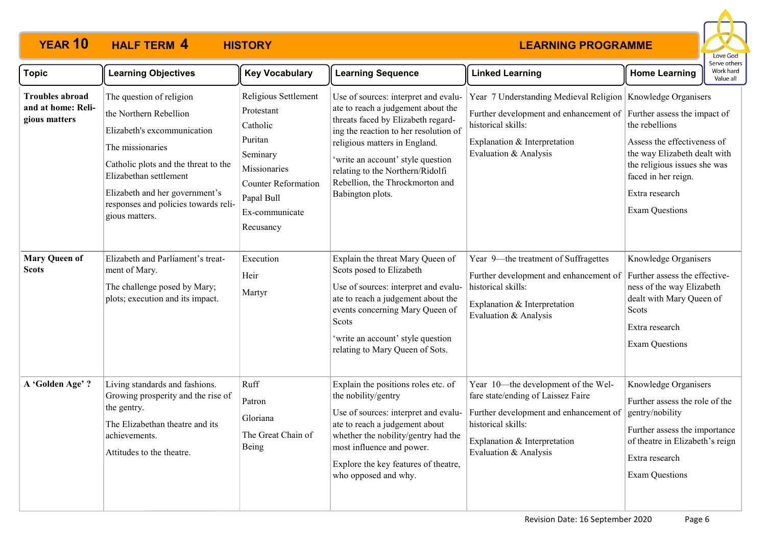

| <b>Topic</b>                                                  | <b>Learning Objectives</b>                                                                                                                                                                                                                                          | <b>Key Vocabulary</b>                                                                                                                                            | <b>Learning Sequence</b>                                                                                                                                                                                                                                                                                                   | <b>Linked Learning</b>                                                                                                                                                                                            | <b>Home Learning</b>                                                                                                                                                                     | erve other:<br>Work hard<br>Value all |
|---------------------------------------------------------------|---------------------------------------------------------------------------------------------------------------------------------------------------------------------------------------------------------------------------------------------------------------------|------------------------------------------------------------------------------------------------------------------------------------------------------------------|----------------------------------------------------------------------------------------------------------------------------------------------------------------------------------------------------------------------------------------------------------------------------------------------------------------------------|-------------------------------------------------------------------------------------------------------------------------------------------------------------------------------------------------------------------|------------------------------------------------------------------------------------------------------------------------------------------------------------------------------------------|---------------------------------------|
| <b>Troubles abroad</b><br>and at home: Reli-<br>gious matters | The question of religion<br>the Northern Rebellion<br>Elizabeth's excommunication<br>The missionaries<br>Catholic plots and the threat to the<br>Elizabethan settlement<br>Elizabeth and her government's<br>responses and policies towards reli-<br>gious matters. | Religious Settlement<br>Protestant<br>Catholic<br>Puritan<br>Seminary<br>Missionaries<br><b>Counter Reformation</b><br>Papal Bull<br>Ex-communicate<br>Recusancy | Use of sources: interpret and evalu-<br>ate to reach a judgement about the<br>threats faced by Elizabeth regard-<br>ing the reaction to her resolution of<br>religious matters in England.<br>'write an account' style question<br>relating to the Northern/Ridolfi<br>Rebellion, the Throckmorton and<br>Babington plots. | Year 7 Understanding Medieval Religion Knowledge Organisers<br>Further development and enhancement of Further assess the impact of<br>historical skills:<br>Explanation & Interpretation<br>Evaluation & Analysis | the rebellions<br>Assess the effectiveness of<br>the way Elizabeth dealt with<br>the religious issues she was<br>faced in her reign.<br>Extra research<br><b>Exam Questions</b>          |                                       |
| <b>Mary Queen of</b><br><b>Scots</b>                          | Elizabeth and Parliament's treat-<br>ment of Mary.<br>The challenge posed by Mary;<br>plots; execution and its impact.                                                                                                                                              | Execution<br>Heir<br>Martyr                                                                                                                                      | Explain the threat Mary Queen of<br>Scots posed to Elizabeth<br>Use of sources: interpret and evalu-<br>ate to reach a judgement about the<br>events concerning Mary Queen of<br>Scots<br>'write an account' style question<br>relating to Mary Queen of Sots.                                                             | Year 9-the treatment of Suffragettes<br>Further development and enhancement of<br>historical skills:<br>Explanation & Interpretation<br>Evaluation & Analysis                                                     | Knowledge Organisers<br>Further assess the effective-<br>ness of the way Elizabeth<br>dealt with Mary Queen of<br>Scots<br>Extra research<br><b>Exam Questions</b>                       |                                       |
| A 'Golden Age' ?                                              | Living standards and fashions.<br>Growing prosperity and the rise of<br>the gentry.<br>The Elizabethan theatre and its<br>achievements.<br>Attitudes to the theatre.                                                                                                | Ruff<br>Patron<br>Gloriana<br>The Great Chain of<br>Being                                                                                                        | Explain the positions roles etc. of<br>the nobility/gentry<br>Use of sources: interpret and evalu-<br>ate to reach a judgement about<br>whether the nobility/gentry had the<br>most influence and power.<br>Explore the key features of theatre,<br>who opposed and why.                                                   | Year 10-the development of the Wel-<br>fare state/ending of Laissez Faire<br>Further development and enhancement of<br>historical skills:<br>Explanation & Interpretation<br>Evaluation & Analysis                | Knowledge Organisers<br>Further assess the role of the<br>gentry/nobility<br>Further assess the importance<br>of theatre in Elizabeth's reign<br>Extra research<br><b>Exam Questions</b> |                                       |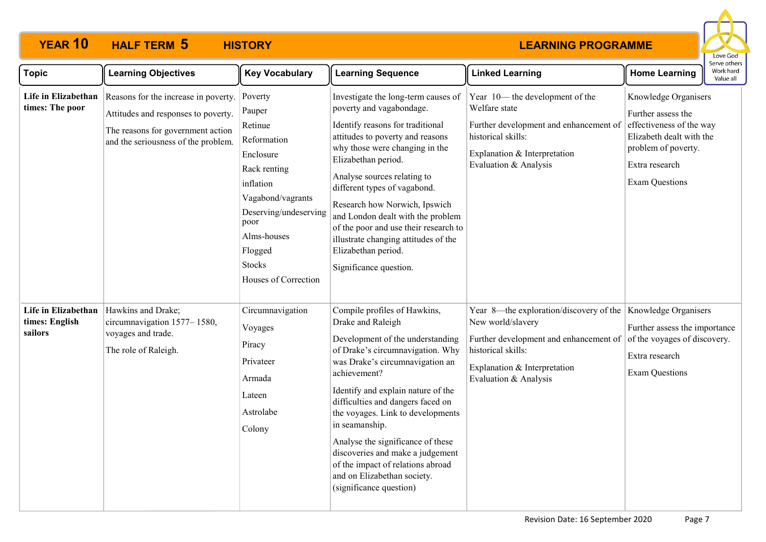

| <b>Topic</b>                                     | <b>Learning Objectives</b>                                                                                                                              | <b>Key Vocabulary</b>                                                                                                                                                                                          | <b>Learning Sequence</b>                                                                                                                                                                                                                                                                                                                                                                                                                                                               | <b>Linked Learning</b>                                                                                                                                                                                     | <b>Home Learning</b>                                                                                                                                                 | Work hard<br>Value all |
|--------------------------------------------------|---------------------------------------------------------------------------------------------------------------------------------------------------------|----------------------------------------------------------------------------------------------------------------------------------------------------------------------------------------------------------------|----------------------------------------------------------------------------------------------------------------------------------------------------------------------------------------------------------------------------------------------------------------------------------------------------------------------------------------------------------------------------------------------------------------------------------------------------------------------------------------|------------------------------------------------------------------------------------------------------------------------------------------------------------------------------------------------------------|----------------------------------------------------------------------------------------------------------------------------------------------------------------------|------------------------|
| Life in Elizabethan<br>times: The poor           | Reasons for the increase in poverty.<br>Attitudes and responses to poverty.<br>The reasons for government action<br>and the seriousness of the problem. | Poverty<br>Pauper<br>Retinue<br>Reformation<br>Enclosure<br>Rack renting<br>inflation<br>Vagabond/vagrants<br>Deserving/undeserving<br>poor<br>Alms-houses<br>Flogged<br><b>Stocks</b><br>Houses of Correction | Investigate the long-term causes of<br>poverty and vagabondage.<br>Identify reasons for traditional<br>attitudes to poverty and reasons<br>why those were changing in the<br>Elizabethan period.<br>Analyse sources relating to<br>different types of vagabond.<br>Research how Norwich, Ipswich<br>and London dealt with the problem<br>of the poor and use their research to<br>illustrate changing attitudes of the<br>Elizabethan period.<br>Significance question.                | Year 10— the development of the<br>Welfare state<br>Further development and enhancement of<br>historical skills:<br>Explanation & Interpretation<br>Evaluation & Analysis                                  | Knowledge Organisers<br>Further assess the<br>effectiveness of the way<br>Elizabeth dealt with the<br>problem of poverty.<br>Extra research<br><b>Exam Questions</b> |                        |
| Life in Elizabethan<br>times: English<br>sailors | Hawkins and Drake;<br>circumnavigation 1577-1580,<br>voyages and trade.<br>The role of Raleigh.                                                         | Circumnavigation<br>Voyages<br>Piracy<br>Privateer<br>Armada<br>Lateen<br>Astrolabe<br>Colony                                                                                                                  | Compile profiles of Hawkins,<br>Drake and Raleigh<br>Development of the understanding<br>of Drake's circumnavigation. Why<br>was Drake's circumnavigation an<br>achievement?<br>Identify and explain nature of the<br>difficulties and dangers faced on<br>the voyages. Link to developments<br>in seamanship.<br>Analyse the significance of these<br>discoveries and make a judgement<br>of the impact of relations abroad<br>and on Elizabethan society.<br>(significance question) | Year 8—the exploration/discovery of the Knowledge Organisers<br>New world/slavery<br>Further development and enhancement of<br>historical skills:<br>Explanation & Interpretation<br>Evaluation & Analysis | Further assess the importance<br>of the voyages of discovery.<br>Extra research<br><b>Exam Questions</b>                                                             |                        |